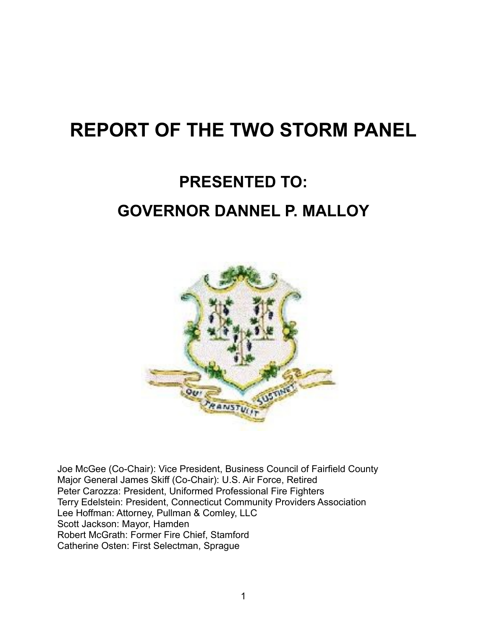# **REPORT OF THE TWO STORM PANEL**

# **PRESENTED TO: GOVERNOR DANNEL P. MALLOY**



Joe McGee (Co-Chair): Vice President, Business Council of Fairfield County Major General James Skiff (Co-Chair): U.S. Air Force, Retired Peter Carozza: President, Uniformed Professional Fire Fighters Terry Edelstein: President, Connecticut Community Providers Association Lee Hoffman: Attorney, Pullman & Comley, LLC Scott Jackson: Mayor, Hamden Robert McGrath: Former Fire Chief, Stamford Catherine Osten: First Selectman, Sprague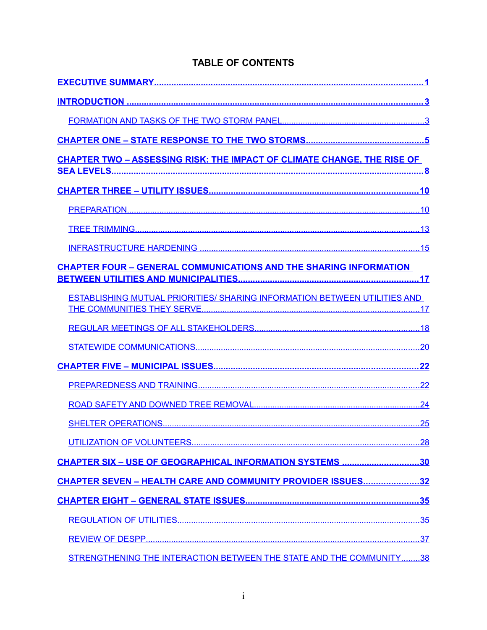| <b>TABLE OF CONTENTS</b> |  |  |  |  |
|--------------------------|--|--|--|--|
|--------------------------|--|--|--|--|

| <b>CHAPTER TWO - ASSESSING RISK: THE IMPACT OF CLIMATE CHANGE, THE RISE OF</b>   |  |
|----------------------------------------------------------------------------------|--|
|                                                                                  |  |
|                                                                                  |  |
|                                                                                  |  |
|                                                                                  |  |
|                                                                                  |  |
| <b>CHAPTER FOUR - GENERAL COMMUNICATIONS AND THE SHARING INFORMATION</b>         |  |
|                                                                                  |  |
| <b>ESTABLISHING MUTUAL PRIORITIES/ SHARING INFORMATION BETWEEN UTILITIES AND</b> |  |
|                                                                                  |  |
|                                                                                  |  |
|                                                                                  |  |
|                                                                                  |  |
|                                                                                  |  |
|                                                                                  |  |
|                                                                                  |  |
| <u>CHAPTER SIX - USE OF GEOGRAPHICAL INFORMATION SYSTEMS 30</u>                  |  |
| CHAPTER SEVEN - HEALTH CARE AND COMMUNITY PROVIDER ISSUES32                      |  |
|                                                                                  |  |
|                                                                                  |  |
|                                                                                  |  |
| STRENGTHENING THE INTERACTION BETWEEN THE STATE AND THE COMMUNITY38              |  |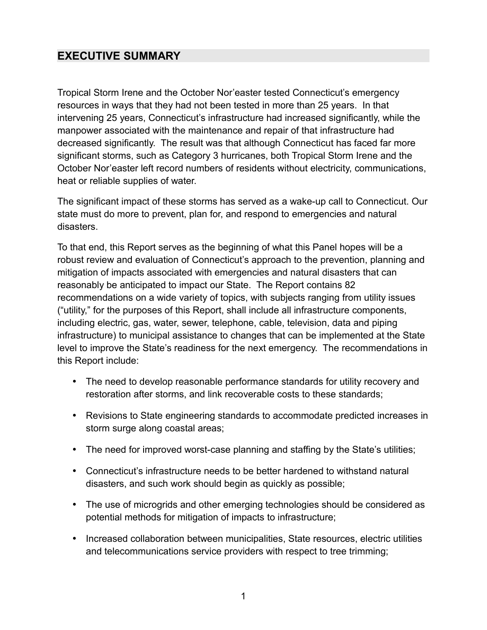# <span id="page-3-0"></span>**EXECUTIVE SUMMARY**

Tropical Storm Irene and the October Nor'easter tested Connecticut's emergency resources in ways that they had not been tested in more than 25 years. In that intervening 25 years, Connecticut's infrastructure had increased significantly, while the manpower associated with the maintenance and repair of that infrastructure had decreased significantly. The result was that although Connecticut has faced far more significant storms, such as Category 3 hurricanes, both Tropical Storm Irene and the October Nor'easter left record numbers of residents without electricity, communications, heat or reliable supplies of water.

The significant impact of these storms has served as a wake-up call to Connecticut. Our state must do more to prevent, plan for, and respond to emergencies and natural disasters.

To that end, this Report serves as the beginning of what this Panel hopes will be a robust review and evaluation of Connecticut's approach to the prevention, planning and mitigation of impacts associated with emergencies and natural disasters that can reasonably be anticipated to impact our State. The Report contains 82 recommendations on a wide variety of topics, with subjects ranging from utility issues ("utility," for the purposes of this Report, shall include all infrastructure components, including electric, gas, water, sewer, telephone, cable, television, data and piping infrastructure) to municipal assistance to changes that can be implemented at the State level to improve the State's readiness for the next emergency. The recommendations in this Report include:

- The need to develop reasonable performance standards for utility recovery and restoration after storms, and link recoverable costs to these standards;
- Revisions to State engineering standards to accommodate predicted increases in storm surge along coastal areas;
- The need for improved worst-case planning and staffing by the State's utilities;
- Connecticut's infrastructure needs to be better hardened to withstand natural disasters, and such work should begin as quickly as possible;
- The use of microgrids and other emerging technologies should be considered as potential methods for mitigation of impacts to infrastructure;
- Increased collaboration between municipalities, State resources, electric utilities and telecommunications service providers with respect to tree trimming;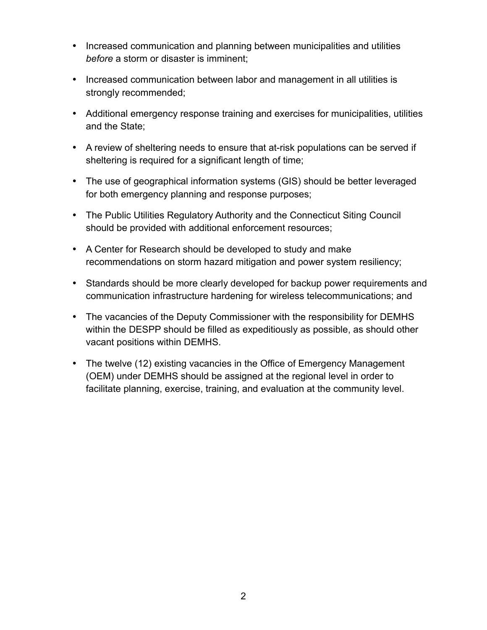- Increased communication and planning between municipalities and utilities *before* a storm or disaster is imminent;
- Increased communication between labor and management in all utilities is strongly recommended;
- Additional emergency response training and exercises for municipalities, utilities and the State;
- A review of sheltering needs to ensure that at-risk populations can be served if sheltering is required for a significant length of time;
- The use of geographical information systems (GIS) should be better leveraged for both emergency planning and response purposes;
- The Public Utilities Regulatory Authority and the Connecticut Siting Council should be provided with additional enforcement resources;
- A Center for Research should be developed to study and make recommendations on storm hazard mitigation and power system resiliency;
- Standards should be more clearly developed for backup power requirements and communication infrastructure hardening for wireless telecommunications; and
- The vacancies of the Deputy Commissioner with the responsibility for DEMHS within the DESPP should be filled as expeditiously as possible, as should other vacant positions within DEMHS.
- The twelve (12) existing vacancies in the Office of Emergency Management (OEM) under DEMHS should be assigned at the regional level in order to facilitate planning, exercise, training, and evaluation at the community level.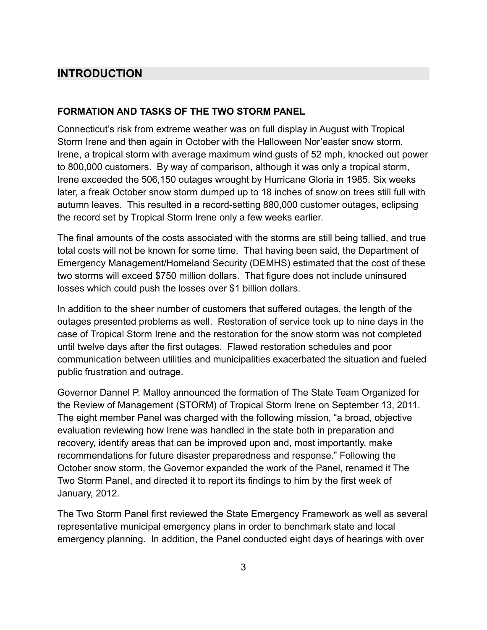# <span id="page-5-1"></span>**INTRODUCTION**

## <span id="page-5-0"></span>**FORMATION AND TASKS OF THE TWO STORM PANEL**

Connecticut's risk from extreme weather was on full display in August with Tropical Storm Irene and then again in October with the Halloween Nor'easter snow storm. Irene, a tropical storm with average maximum wind gusts of 52 mph, knocked out power to 800,000 customers. By way of comparison, although it was only a tropical storm, Irene exceeded the 506,150 outages wrought by Hurricane Gloria in 1985. Six weeks later, a freak October snow storm dumped up to 18 inches of snow on trees still full with autumn leaves. This resulted in a record-setting 880,000 customer outages, eclipsing the record set by Tropical Storm Irene only a few weeks earlier.

The final amounts of the costs associated with the storms are still being tallied, and true total costs will not be known for some time. That having been said, the Department of Emergency Management/Homeland Security (DEMHS) estimated that the cost of these two storms will exceed \$750 million dollars. That figure does not include uninsured losses which could push the losses over \$1 billion dollars.

In addition to the sheer number of customers that suffered outages, the length of the outages presented problems as well. Restoration of service took up to nine days in the case of Tropical Storm Irene and the restoration for the snow storm was not completed until twelve days after the first outages. Flawed restoration schedules and poor communication between utilities and municipalities exacerbated the situation and fueled public frustration and outrage.

Governor Dannel P. Malloy announced the formation of The State Team Organized for the Review of Management (STORM) of Tropical Storm Irene on September 13, 2011. The eight member Panel was charged with the following mission, "a broad, objective evaluation reviewing how Irene was handled in the state both in preparation and recovery, identify areas that can be improved upon and, most importantly, make recommendations for future disaster preparedness and response." Following the October snow storm, the Governor expanded the work of the Panel, renamed it The Two Storm Panel, and directed it to report its findings to him by the first week of January, 2012.

The Two Storm Panel first reviewed the State Emergency Framework as well as several representative municipal emergency plans in order to benchmark state and local emergency planning. In addition, the Panel conducted eight days of hearings with over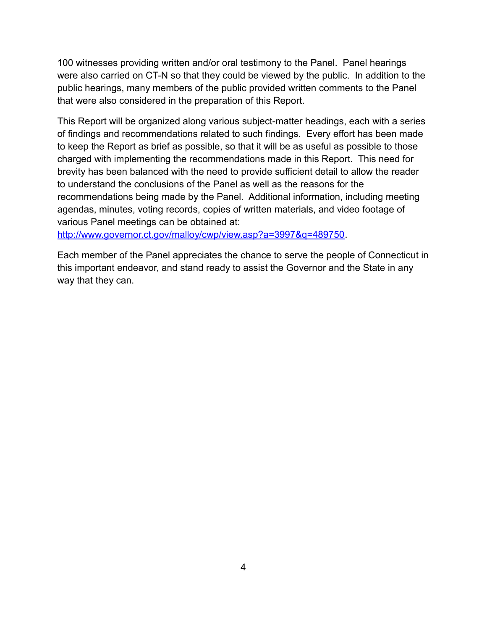100 witnesses providing written and/or oral testimony to the Panel. Panel hearings were also carried on CT-N so that they could be viewed by the public. In addition to the public hearings, many members of the public provided written comments to the Panel that were also considered in the preparation of this Report.

This Report will be organized along various subject-matter headings, each with a series of findings and recommendations related to such findings. Every effort has been made to keep the Report as brief as possible, so that it will be as useful as possible to those charged with implementing the recommendations made in this Report. This need for brevity has been balanced with the need to provide sufficient detail to allow the reader to understand the conclusions of the Panel as well as the reasons for the recommendations being made by the Panel. Additional information, including meeting agendas, minutes, voting records, copies of written materials, and video footage of various Panel meetings can be obtained at:

[http://www.governor.ct.gov/malloy/cwp/view.asp?a=3997&q=489750.](http://www.governor.ct.gov/malloy/cwp/view.asp?a=3997&q=489750)

Each member of the Panel appreciates the chance to serve the people of Connecticut in this important endeavor, and stand ready to assist the Governor and the State in any way that they can.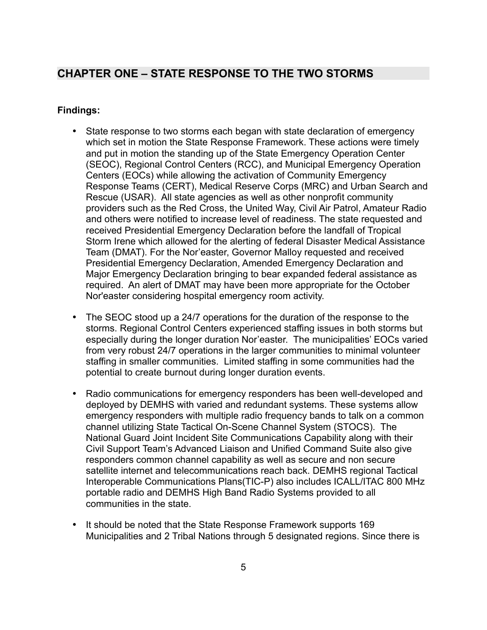# <span id="page-7-0"></span>**CHAPTER ONE – STATE RESPONSE TO THE TWO STORMS**

- State response to two storms each began with state declaration of emergency which set in motion the State Response Framework. These actions were timely and put in motion the standing up of the State Emergency Operation Center (SEOC), Regional Control Centers (RCC), and Municipal Emergency Operation Centers (EOCs) while allowing the activation of Community Emergency Response Teams (CERT), Medical Reserve Corps (MRC) and Urban Search and Rescue (USAR). All state agencies as well as other nonprofit community providers such as the Red Cross, the United Way, Civil Air Patrol, Amateur Radio and others were notified to increase level of readiness. The state requested and received Presidential Emergency Declaration before the landfall of Tropical Storm Irene which allowed for the alerting of federal Disaster Medical Assistance Team (DMAT). For the Nor'easter, Governor Malloy requested and received Presidential Emergency Declaration, Amended Emergency Declaration and Major Emergency Declaration bringing to bear expanded federal assistance as required. An alert of DMAT may have been more appropriate for the October Nor'easter considering hospital emergency room activity.
- The SEOC stood up a 24/7 operations for the duration of the response to the storms. Regional Control Centers experienced staffing issues in both storms but especially during the longer duration Nor'easter. The municipalities' EOCs varied from very robust 24/7 operations in the larger communities to minimal volunteer staffing in smaller communities. Limited staffing in some communities had the potential to create burnout during longer duration events.
- Radio communications for emergency responders has been well-developed and deployed by DEMHS with varied and redundant systems. These systems allow emergency responders with multiple radio frequency bands to talk on a common channel utilizing State Tactical On-Scene Channel System (STOCS). The National Guard Joint Incident Site Communications Capability along with their Civil Support Team's Advanced Liaison and Unified Command Suite also give responders common channel capability as well as secure and non secure satellite internet and telecommunications reach back. DEMHS regional Tactical Interoperable Communications Plans(TIC-P) also includes ICALL/ITAC 800 MHz portable radio and DEMHS High Band Radio Systems provided to all communities in the state.
- It should be noted that the State Response Framework supports 169 Municipalities and 2 Tribal Nations through 5 designated regions. Since there is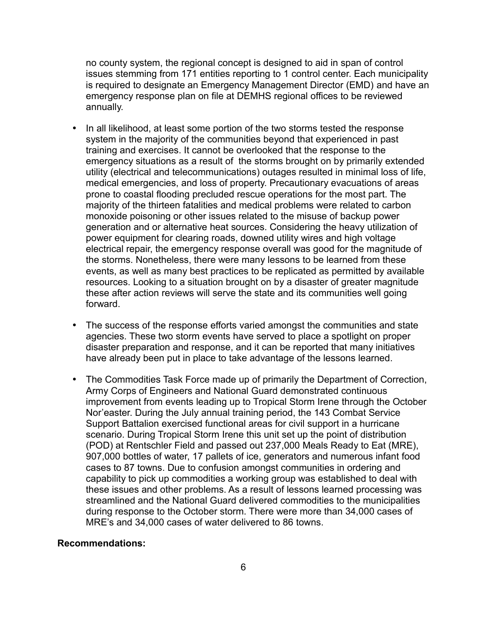no county system, the regional concept is designed to aid in span of control issues stemming from 171 entities reporting to 1 control center. Each municipality is required to designate an Emergency Management Director (EMD) and have an emergency response plan on file at DEMHS regional offices to be reviewed annually.

- In all likelihood, at least some portion of the two storms tested the response system in the majority of the communities beyond that experienced in past training and exercises. It cannot be overlooked that the response to the emergency situations as a result of the storms brought on by primarily extended utility (electrical and telecommunications) outages resulted in minimal loss of life, medical emergencies, and loss of property. Precautionary evacuations of areas prone to coastal flooding precluded rescue operations for the most part. The majority of the thirteen fatalities and medical problems were related to carbon monoxide poisoning or other issues related to the misuse of backup power generation and or alternative heat sources. Considering the heavy utilization of power equipment for clearing roads, downed utility wires and high voltage electrical repair, the emergency response overall was good for the magnitude of the storms. Nonetheless, there were many lessons to be learned from these events, as well as many best practices to be replicated as permitted by available resources. Looking to a situation brought on by a disaster of greater magnitude these after action reviews will serve the state and its communities well going forward.
- The success of the response efforts varied amongst the communities and state agencies. These two storm events have served to place a spotlight on proper disaster preparation and response, and it can be reported that many initiatives have already been put in place to take advantage of the lessons learned.
- The Commodities Task Force made up of primarily the Department of Correction, Army Corps of Engineers and National Guard demonstrated continuous improvement from events leading up to Tropical Storm Irene through the October Nor'easter. During the July annual training period, the 143 Combat Service Support Battalion exercised functional areas for civil support in a hurricane scenario. During Tropical Storm Irene this unit set up the point of distribution (POD) at Rentschler Field and passed out 237,000 Meals Ready to Eat (MRE), 907,000 bottles of water, 17 pallets of ice, generators and numerous infant food cases to 87 towns. Due to confusion amongst communities in ordering and capability to pick up commodities a working group was established to deal with these issues and other problems. As a result of lessons learned processing was streamlined and the National Guard delivered commodities to the municipalities during response to the October storm. There were more than 34,000 cases of MRE's and 34,000 cases of water delivered to 86 towns.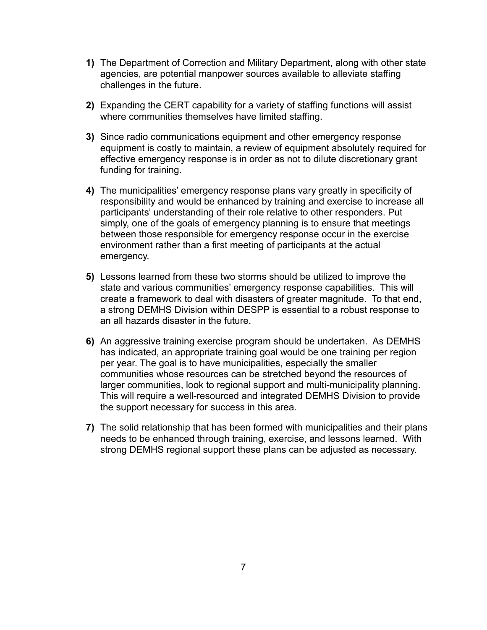- **1)** The Department of Correction and Military Department, along with other state agencies, are potential manpower sources available to alleviate staffing challenges in the future.
- **2)** Expanding the CERT capability for a variety of staffing functions will assist where communities themselves have limited staffing.
- **3)** Since radio communications equipment and other emergency response equipment is costly to maintain, a review of equipment absolutely required for effective emergency response is in order as not to dilute discretionary grant funding for training.
- **4)** The municipalities' emergency response plans vary greatly in specificity of responsibility and would be enhanced by training and exercise to increase all participants' understanding of their role relative to other responders. Put simply, one of the goals of emergency planning is to ensure that meetings between those responsible for emergency response occur in the exercise environment rather than a first meeting of participants at the actual emergency.
- **5)** Lessons learned from these two storms should be utilized to improve the state and various communities' emergency response capabilities. This will create a framework to deal with disasters of greater magnitude. To that end, a strong DEMHS Division within DESPP is essential to a robust response to an all hazards disaster in the future.
- **6)** An aggressive training exercise program should be undertaken. As DEMHS has indicated, an appropriate training goal would be one training per region per year. The goal is to have municipalities, especially the smaller communities whose resources can be stretched beyond the resources of larger communities, look to regional support and multi-municipality planning. This will require a well-resourced and integrated DEMHS Division to provide the support necessary for success in this area.
- **7)** The solid relationship that has been formed with municipalities and their plans needs to be enhanced through training, exercise, and lessons learned. With strong DEMHS regional support these plans can be adjusted as necessary.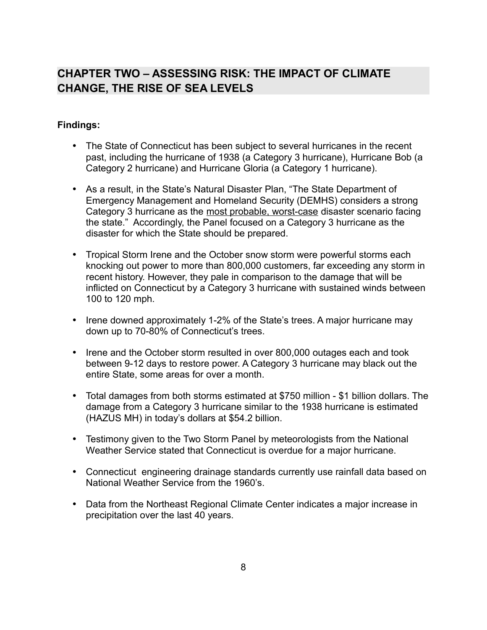# <span id="page-10-0"></span>**CHAPTER TWO – ASSESSING RISK: THE IMPACT OF CLIMATE CHANGE, THE RISE OF SEA LEVELS**

- The State of Connecticut has been subject to several hurricanes in the recent past, including the hurricane of 1938 (a Category 3 hurricane), Hurricane Bob (a Category 2 hurricane) and Hurricane Gloria (a Category 1 hurricane).
- As a result, in the State's Natural Disaster Plan, "The State Department of Emergency Management and Homeland Security (DEMHS) considers a strong Category 3 hurricane as the most probable, worst-case disaster scenario facing the state." Accordingly, the Panel focused on a Category 3 hurricane as the disaster for which the State should be prepared.
- Tropical Storm Irene and the October snow storm were powerful storms each knocking out power to more than 800,000 customers, far exceeding any storm in recent history. However, they pale in comparison to the damage that will be inflicted on Connecticut by a Category 3 hurricane with sustained winds between 100 to 120 mph.
- Irene downed approximately 1-2% of the State's trees. A major hurricane may down up to 70-80% of Connecticut's trees.
- Irene and the October storm resulted in over 800,000 outages each and took between 9-12 days to restore power. A Category 3 hurricane may black out the entire State, some areas for over a month.
- Total damages from both storms estimated at \$750 million \$1 billion dollars. The damage from a Category 3 hurricane similar to the 1938 hurricane is estimated (HAZUS MH) in today's dollars at \$54.2 billion.
- Testimony given to the Two Storm Panel by meteorologists from the National Weather Service stated that Connecticut is overdue for a major hurricane.
- Connecticut engineering drainage standards currently use rainfall data based on National Weather Service from the 1960's.
- Data from the Northeast Regional Climate Center indicates a major increase in precipitation over the last 40 years.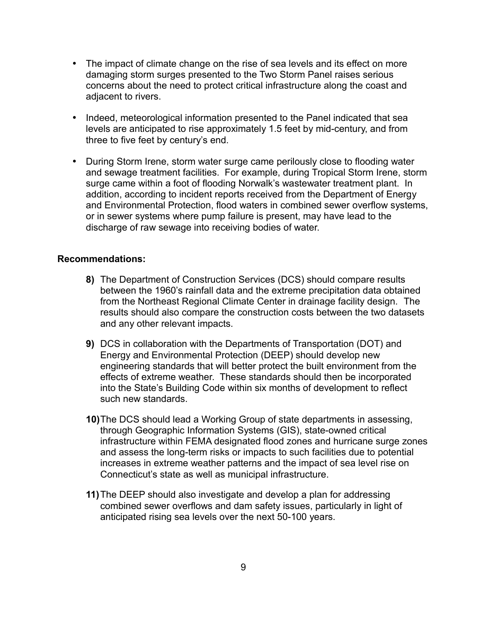- The impact of climate change on the rise of sea levels and its effect on more damaging storm surges presented to the Two Storm Panel raises serious concerns about the need to protect critical infrastructure along the coast and adjacent to rivers.
- Indeed, meteorological information presented to the Panel indicated that sea levels are anticipated to rise approximately 1.5 feet by mid-century, and from three to five feet by century's end.
- During Storm Irene, storm water surge came perilously close to flooding water and sewage treatment facilities. For example, during Tropical Storm Irene, storm surge came within a foot of flooding Norwalk's wastewater treatment plant. In addition, according to incident reports received from the Department of Energy and Environmental Protection, flood waters in combined sewer overflow systems, or in sewer systems where pump failure is present, may have lead to the discharge of raw sewage into receiving bodies of water.

- **8)** The Department of Construction Services (DCS) should compare results between the 1960's rainfall data and the extreme precipitation data obtained from the Northeast Regional Climate Center in drainage facility design. The results should also compare the construction costs between the two datasets and any other relevant impacts.
- **9)** DCS in collaboration with the Departments of Transportation (DOT) and Energy and Environmental Protection (DEEP) should develop new engineering standards that will better protect the built environment from the effects of extreme weather. These standards should then be incorporated into the State's Building Code within six months of development to reflect such new standards.
- **10)**The DCS should lead a Working Group of state departments in assessing, through Geographic Information Systems (GIS), state-owned critical infrastructure within FEMA designated flood zones and hurricane surge zones and assess the long-term risks or impacts to such facilities due to potential increases in extreme weather patterns and the impact of sea level rise on Connecticut's state as well as municipal infrastructure.
- **11)**The DEEP should also investigate and develop a plan for addressing combined sewer overflows and dam safety issues, particularly in light of anticipated rising sea levels over the next 50-100 years.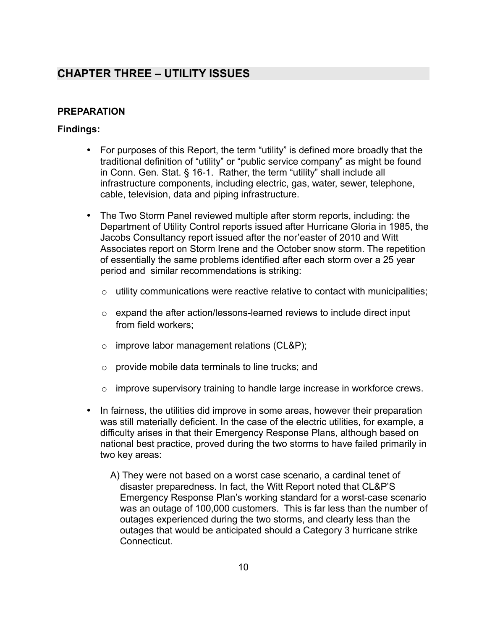# <span id="page-12-1"></span>**CHAPTER THREE – UTILITY ISSUES**

## <span id="page-12-0"></span>**PREPARATION**

- For purposes of this Report, the term "utility" is defined more broadly that the traditional definition of "utility" or "public service company" as might be found in Conn. Gen. Stat. § 16-1. Rather, the term "utility" shall include all infrastructure components, including electric, gas, water, sewer, telephone, cable, television, data and piping infrastructure.
- The Two Storm Panel reviewed multiple after storm reports, including: the Department of Utility Control reports issued after Hurricane Gloria in 1985, the Jacobs Consultancy report issued after the nor'easter of 2010 and Witt Associates report on Storm Irene and the October snow storm. The repetition of essentially the same problems identified after each storm over a 25 year period and similar recommendations is striking:
	- $\circ$  utility communications were reactive relative to contact with municipalities;
	- $\circ$  expand the after action/lessons-learned reviews to include direct input from field workers;
	- o improve labor management relations (CL&P);
	- $\circ$  provide mobile data terminals to line trucks; and
	- o improve supervisory training to handle large increase in workforce crews.
- In fairness, the utilities did improve in some areas, however their preparation was still materially deficient. In the case of the electric utilities, for example, a difficulty arises in that their Emergency Response Plans, although based on national best practice, proved during the two storms to have failed primarily in two key areas:
	- A) They were not based on a worst case scenario, a cardinal tenet of disaster preparedness. In fact, the Witt Report noted that CL&P'S Emergency Response Plan's working standard for a worst-case scenario was an outage of 100,000 customers. This is far less than the number of outages experienced during the two storms, and clearly less than the outages that would be anticipated should a Category 3 hurricane strike Connecticut.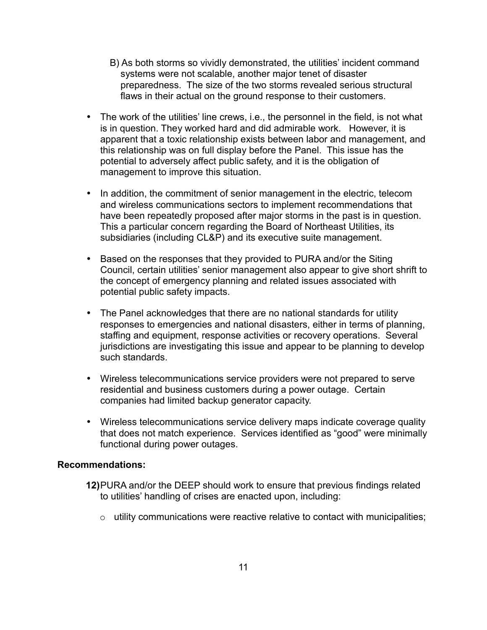- B) As both storms so vividly demonstrated, the utilities' incident command systems were not scalable, another major tenet of disaster preparedness. The size of the two storms revealed serious structural flaws in their actual on the ground response to their customers.
- The work of the utilities' line crews, i.e., the personnel in the field, is not what is in question. They worked hard and did admirable work. However, it is apparent that a toxic relationship exists between labor and management, and this relationship was on full display before the Panel. This issue has the potential to adversely affect public safety, and it is the obligation of management to improve this situation.
- In addition, the commitment of senior management in the electric, telecom and wireless communications sectors to implement recommendations that have been repeatedly proposed after major storms in the past is in question. This a particular concern regarding the Board of Northeast Utilities, its subsidiaries (including CL&P) and its executive suite management.
- Based on the responses that they provided to PURA and/or the Siting Council, certain utilities' senior management also appear to give short shrift to the concept of emergency planning and related issues associated with potential public safety impacts.
- The Panel acknowledges that there are no national standards for utility responses to emergencies and national disasters, either in terms of planning, staffing and equipment, response activities or recovery operations. Several jurisdictions are investigating this issue and appear to be planning to develop such standards.
- Wireless telecommunications service providers were not prepared to serve residential and business customers during a power outage. Certain companies had limited backup generator capacity.
- Wireless telecommunications service delivery maps indicate coverage quality that does not match experience. Services identified as "good" were minimally functional during power outages.

- **12)**PURA and/or the DEEP should work to ensure that previous findings related to utilities' handling of crises are enacted upon, including:
	- o utility communications were reactive relative to contact with municipalities;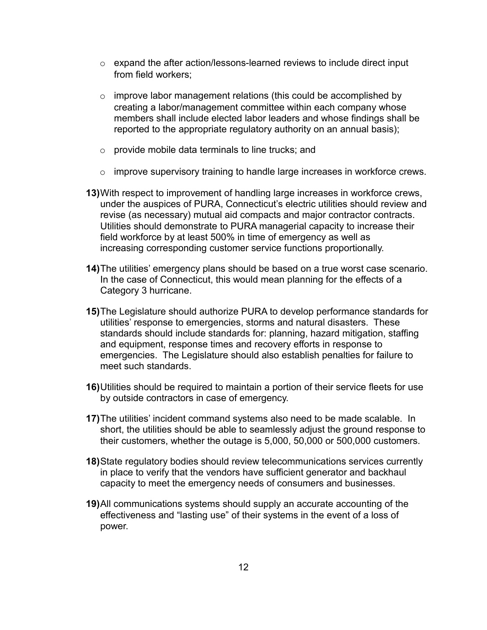- $\circ$  expand the after action/lessons-learned reviews to include direct input from field workers;
- o improve labor management relations (this could be accomplished by creating a labor/management committee within each company whose members shall include elected labor leaders and whose findings shall be reported to the appropriate regulatory authority on an annual basis);
- o provide mobile data terminals to line trucks; and
- $\circ$  improve supervisory training to handle large increases in workforce crews.
- **13)**With respect to improvement of handling large increases in workforce crews, under the auspices of PURA, Connecticut's electric utilities should review and revise (as necessary) mutual aid compacts and major contractor contracts. Utilities should demonstrate to PURA managerial capacity to increase their field workforce by at least 500% in time of emergency as well as increasing corresponding customer service functions proportionally.
- **14)**The utilities' emergency plans should be based on a true worst case scenario. In the case of Connecticut, this would mean planning for the effects of a Category 3 hurricane.
- **15)**The Legislature should authorize PURA to develop performance standards for utilities' response to emergencies, storms and natural disasters. These standards should include standards for: planning, hazard mitigation, staffing and equipment, response times and recovery efforts in response to emergencies. The Legislature should also establish penalties for failure to meet such standards.
- **16)**Utilities should be required to maintain a portion of their service fleets for use by outside contractors in case of emergency.
- **17)**The utilities' incident command systems also need to be made scalable. In short, the utilities should be able to seamlessly adjust the ground response to their customers, whether the outage is 5,000, 50,000 or 500,000 customers.
- **18)**State regulatory bodies should review telecommunications services currently in place to verify that the vendors have sufficient generator and backhaul capacity to meet the emergency needs of consumers and businesses.
- **19)**All communications systems should supply an accurate accounting of the effectiveness and "lasting use" of their systems in the event of a loss of power.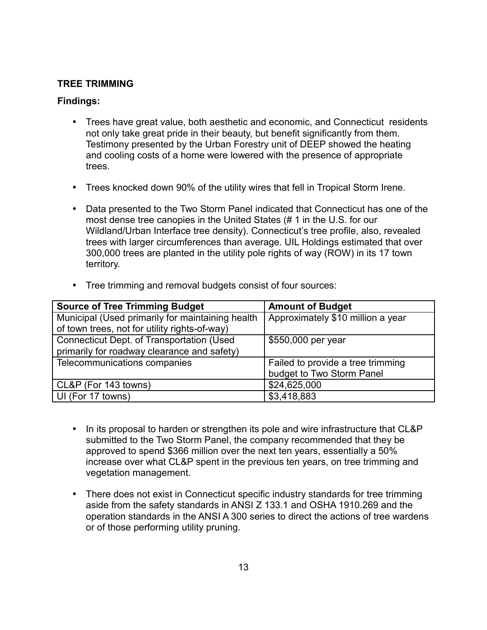## <span id="page-15-0"></span>**TREE TRIMMING**

## **Findings:**

- Trees have great value, both aesthetic and economic, and Connecticut residents not only take great pride in their beauty, but benefit significantly from them. Testimony presented by the Urban Forestry unit of DEEP showed the heating and cooling costs of a home were lowered with the presence of appropriate trees.
- Trees knocked down 90% of the utility wires that fell in Tropical Storm Irene.
- Data presented to the Two Storm Panel indicated that Connecticut has one of the most dense tree canopies in the United States (# 1 in the U.S. for our Wildland/Urban Interface tree density). Connecticut's tree profile, also, revealed trees with larger circumferences than average. UIL Holdings estimated that over 300,000 trees are planted in the utility pole rights of way (ROW) in its 17 town territory.

| <b>Source of Tree Trimming Budget</b>            | <b>Amount of Budget</b>           |  |
|--------------------------------------------------|-----------------------------------|--|
| Municipal (Used primarily for maintaining health | Approximately \$10 million a year |  |
| of town trees, not for utility rights-of-way)    |                                   |  |
| Connecticut Dept. of Transportation (Used        | \$550,000 per year                |  |
| primarily for roadway clearance and safety)      |                                   |  |
| Telecommunications companies                     | Failed to provide a tree trimming |  |
|                                                  | budget to Two Storm Panel         |  |
| CL&P (For 143 towns)                             | \$24,625,000                      |  |
| UI (For 17 towns)                                | \$3,418,883                       |  |

• Tree trimming and removal budgets consist of four sources:

- In its proposal to harden or strengthen its pole and wire infrastructure that CL&P submitted to the Two Storm Panel, the company recommended that they be approved to spend \$366 million over the next ten years, essentially a 50% increase over what CL&P spent in the previous ten years, on tree trimming and vegetation management.
- There does not exist in Connecticut specific industry standards for tree trimming aside from the safety standards in ANSI Z 133.1 and OSHA 1910.269 and the operation standards in the ANSI A 300 series to direct the actions of tree wardens or of those performing utility pruning.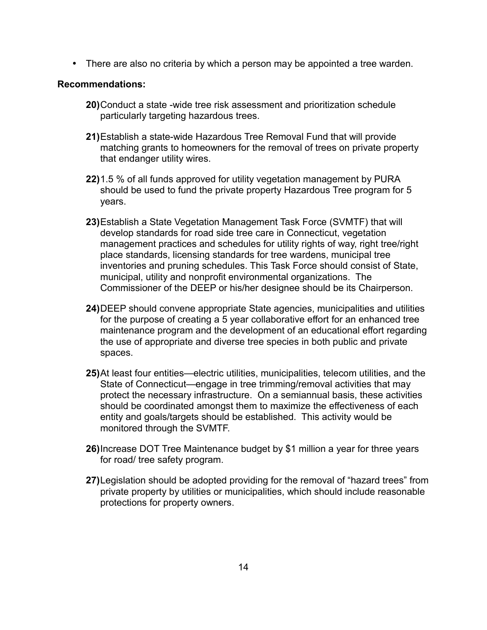• There are also no criteria by which a person may be appointed a tree warden.

- **20)**Conduct a state -wide tree risk assessment and prioritization schedule particularly targeting hazardous trees.
- **21)**Establish a state-wide Hazardous Tree Removal Fund that will provide matching grants to homeowners for the removal of trees on private property that endanger utility wires.
- **22)**1.5 % of all funds approved for utility vegetation management by PURA should be used to fund the private property Hazardous Tree program for 5 years.
- **23)**Establish a State Vegetation Management Task Force (SVMTF) that will develop standards for road side tree care in Connecticut, vegetation management practices and schedules for utility rights of way, right tree/right place standards, licensing standards for tree wardens, municipal tree inventories and pruning schedules. This Task Force should consist of State, municipal, utility and nonprofit environmental organizations. The Commissioner of the DEEP or his/her designee should be its Chairperson.
- **24)**DEEP should convene appropriate State agencies, municipalities and utilities for the purpose of creating a 5 year collaborative effort for an enhanced tree maintenance program and the development of an educational effort regarding the use of appropriate and diverse tree species in both public and private spaces.
- **25)**At least four entities—electric utilities, municipalities, telecom utilities, and the State of Connecticut—engage in tree trimming/removal activities that may protect the necessary infrastructure. On a semiannual basis, these activities should be coordinated amongst them to maximize the effectiveness of each entity and goals/targets should be established. This activity would be monitored through the SVMTF.
- **26)**Increase DOT Tree Maintenance budget by \$1 million a year for three years for road/ tree safety program.
- **27)**Legislation should be adopted providing for the removal of "hazard trees" from private property by utilities or municipalities, which should include reasonable protections for property owners.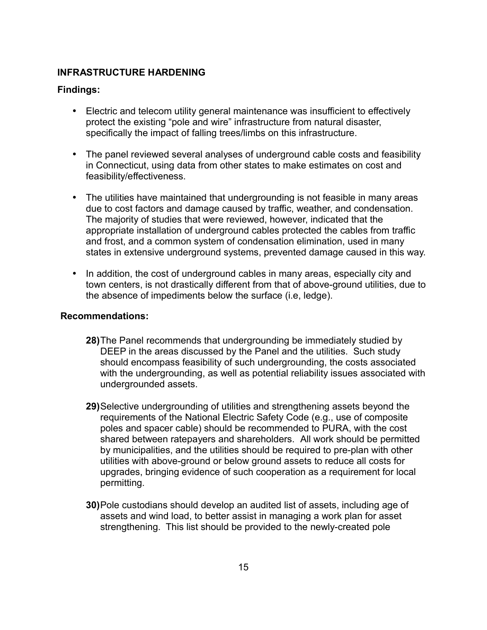## <span id="page-17-0"></span>**INFRASTRUCTURE HARDENING**

## **Findings:**

- Electric and telecom utility general maintenance was insufficient to effectively protect the existing "pole and wire" infrastructure from natural disaster, specifically the impact of falling trees/limbs on this infrastructure.
- The panel reviewed several analyses of underground cable costs and feasibility in Connecticut, using data from other states to make estimates on cost and feasibility/effectiveness.
- The utilities have maintained that undergrounding is not feasible in many areas due to cost factors and damage caused by traffic, weather, and condensation. The majority of studies that were reviewed, however, indicated that the appropriate installation of underground cables protected the cables from traffic and frost, and a common system of condensation elimination, used in many states in extensive underground systems, prevented damage caused in this way.
- In addition, the cost of underground cables in many areas, especially city and town centers, is not drastically different from that of above-ground utilities, due to the absence of impediments below the surface (i.e, ledge).

- **28)**The Panel recommends that undergrounding be immediately studied by DEEP in the areas discussed by the Panel and the utilities. Such study should encompass feasibility of such undergrounding, the costs associated with the undergrounding, as well as potential reliability issues associated with undergrounded assets.
- **29)**Selective undergrounding of utilities and strengthening assets beyond the requirements of the National Electric Safety Code (e.g., use of composite poles and spacer cable) should be recommended to PURA, with the cost shared between ratepayers and shareholders. All work should be permitted by municipalities, and the utilities should be required to pre-plan with other utilities with above-ground or below ground assets to reduce all costs for upgrades, bringing evidence of such cooperation as a requirement for local permitting.
- **30)**Pole custodians should develop an audited list of assets, including age of assets and wind load, to better assist in managing a work plan for asset strengthening. This list should be provided to the newly-created pole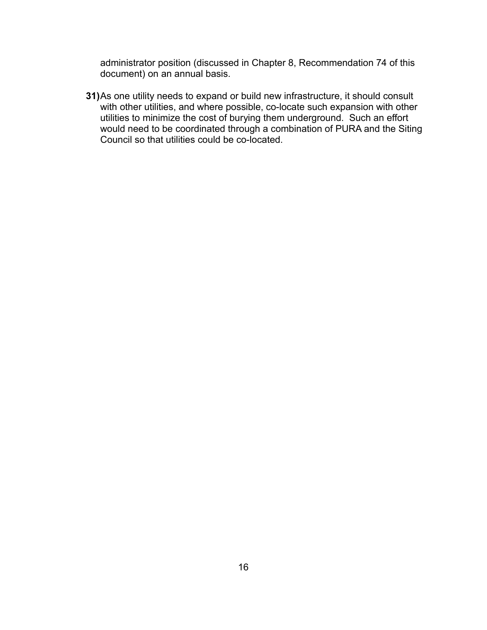administrator position (discussed in Chapter 8, Recommendation 74 of this document) on an annual basis.

**31)**As one utility needs to expand or build new infrastructure, it should consult with other utilities, and where possible, co-locate such expansion with other utilities to minimize the cost of burying them underground. Such an effort would need to be coordinated through a combination of PURA and the Siting Council so that utilities could be co-located.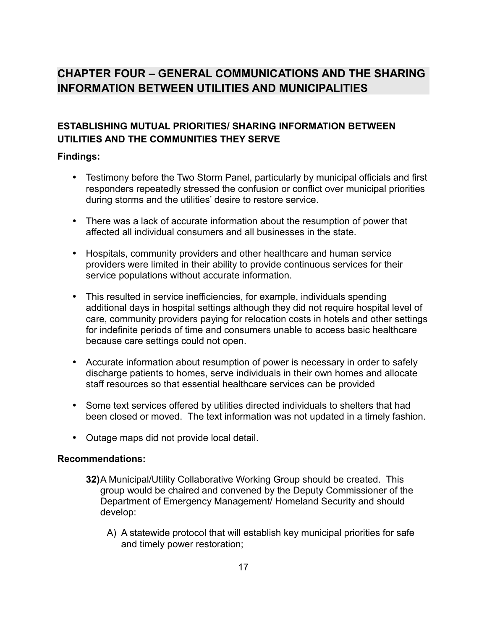# <span id="page-19-1"></span>**CHAPTER FOUR – GENERAL COMMUNICATIONS AND THE SHARING INFORMATION BETWEEN UTILITIES AND MUNICIPALITIES**

# <span id="page-19-0"></span>**ESTABLISHING MUTUAL PRIORITIES/ SHARING INFORMATION BETWEEN UTILITIES AND THE COMMUNITIES THEY SERVE**

## **Findings:**

- Testimony before the Two Storm Panel, particularly by municipal officials and first responders repeatedly stressed the confusion or conflict over municipal priorities during storms and the utilities' desire to restore service.
- There was a lack of accurate information about the resumption of power that affected all individual consumers and all businesses in the state.
- Hospitals, community providers and other healthcare and human service providers were limited in their ability to provide continuous services for their service populations without accurate information.
- This resulted in service inefficiencies, for example, individuals spending additional days in hospital settings although they did not require hospital level of care, community providers paying for relocation costs in hotels and other settings for indefinite periods of time and consumers unable to access basic healthcare because care settings could not open.
- Accurate information about resumption of power is necessary in order to safely discharge patients to homes, serve individuals in their own homes and allocate staff resources so that essential healthcare services can be provided
- Some text services offered by utilities directed individuals to shelters that had been closed or moved. The text information was not updated in a timely fashion.
- Outage maps did not provide local detail.

- **32)**A Municipal/Utility Collaborative Working Group should be created. This group would be chaired and convened by the Deputy Commissioner of the Department of Emergency Management/ Homeland Security and should develop:
	- A) A statewide protocol that will establish key municipal priorities for safe and timely power restoration;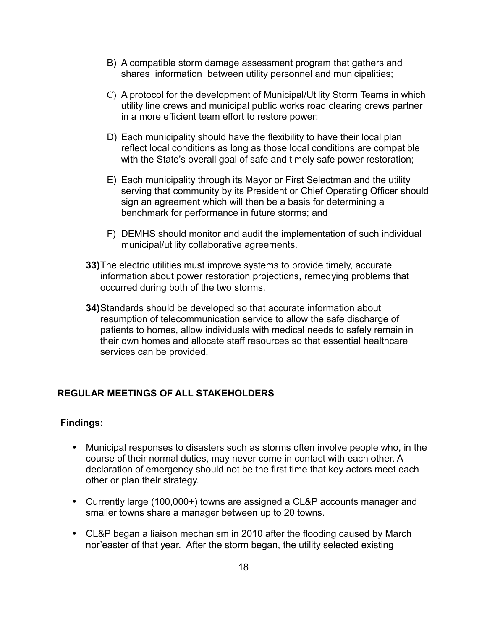- B) A compatible storm damage assessment program that gathers and shares information between utility personnel and municipalities;
- C) A protocol for the development of Municipal/Utility Storm Teams in which utility line crews and municipal public works road clearing crews partner in a more efficient team effort to restore power;
- D) Each municipality should have the flexibility to have their local plan reflect local conditions as long as those local conditions are compatible with the State's overall goal of safe and timely safe power restoration;
- E) Each municipality through its Mayor or First Selectman and the utility serving that community by its President or Chief Operating Officer should sign an agreement which will then be a basis for determining a benchmark for performance in future storms; and
- F) DEMHS should monitor and audit the implementation of such individual municipal/utility collaborative agreements.
- **33)**The electric utilities must improve systems to provide timely, accurate information about power restoration projections, remedying problems that occurred during both of the two storms.
- **34)**Standards should be developed so that accurate information about resumption of telecommunication service to allow the safe discharge of patients to homes, allow individuals with medical needs to safely remain in their own homes and allocate staff resources so that essential healthcare services can be provided.

#### <span id="page-20-0"></span>**REGULAR MEETINGS OF ALL STAKEHOLDERS**

- Municipal responses to disasters such as storms often involve people who, in the course of their normal duties, may never come in contact with each other. A declaration of emergency should not be the first time that key actors meet each other or plan their strategy.
- Currently large (100,000+) towns are assigned a CL&P accounts manager and smaller towns share a manager between up to 20 towns.
- CL&P began a liaison mechanism in 2010 after the flooding caused by March nor'easter of that year. After the storm began, the utility selected existing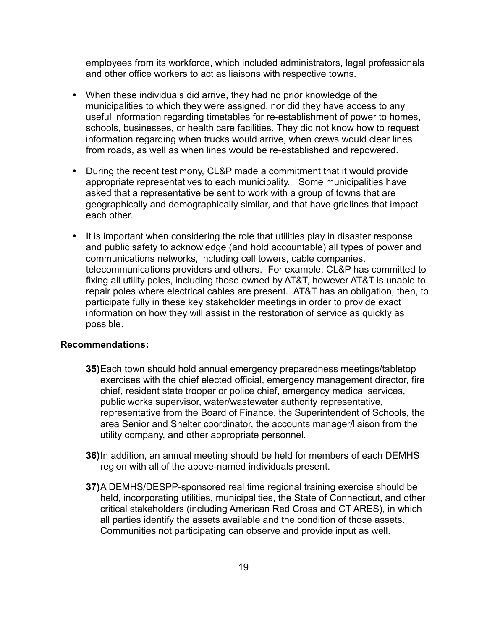employees from its workforce, which included administrators, legal professionals and other office workers to act as liaisons with respective towns.

- When these individuals did arrive, they had no prior knowledge of the municipalities to which they were assigned, nor did they have access to any useful information regarding timetables for re-establishment of power to homes, schools, businesses, or health care facilities. They did not know how to request information regarding when trucks would arrive, when crews would clear lines from roads, as well as when lines would be re-established and repowered.
- During the recent testimony, CL&P made a commitment that it would provide appropriate representatives to each municipality. Some municipalities have asked that a representative be sent to work with a group of towns that are geographically and demographically similar, and that have gridlines that impact each other.
- It is important when considering the role that utilities play in disaster response and public safety to acknowledge (and hold accountable) all types of power and communications networks, including cell towers, cable companies, telecommunications providers and others. For example, CL&P has committed to fixing all utility poles, including those owned by AT&T, however AT&T is unable to repair poles where electrical cables are present. AT&T has an obligation, then, to participate fully in these key stakeholder meetings in order to provide exact information on how they will assist in the restoration of service as quickly as possible.

- **35)**Each town should hold annual emergency preparedness meetings/tabletop exercises with the chief elected official, emergency management director, fire chief, resident state trooper or police chief, emergency medical services, public works supervisor, water/wastewater authority representative, representative from the Board of Finance, the Superintendent of Schools, the area Senior and Shelter coordinator, the accounts manager/liaison from the utility company, and other appropriate personnel.
- **36)**In addition, an annual meeting should be held for members of each DEMHS region with all of the above-named individuals present.
- **37)**A DEMHS/DESPP-sponsored real time regional training exercise should be held, incorporating utilities, municipalities, the State of Connecticut, and other critical stakeholders (including American Red Cross and CT ARES), in which all parties identify the assets available and the condition of those assets. Communities not participating can observe and provide input as well.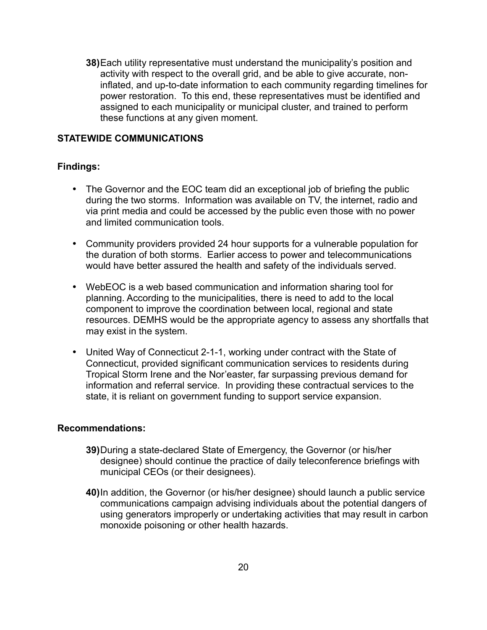**38)**Each utility representative must understand the municipality's position and activity with respect to the overall grid, and be able to give accurate, noninflated, and up-to-date information to each community regarding timelines for power restoration. To this end, these representatives must be identified and assigned to each municipality or municipal cluster, and trained to perform these functions at any given moment.

#### <span id="page-22-0"></span>**STATEWIDE COMMUNICATIONS**

#### **Findings:**

- The Governor and the EOC team did an exceptional job of briefing the public during the two storms. Information was available on TV, the internet, radio and via print media and could be accessed by the public even those with no power and limited communication tools.
- Community providers provided 24 hour supports for a vulnerable population for the duration of both storms. Earlier access to power and telecommunications would have better assured the health and safety of the individuals served.
- WebEOC is a web based communication and information sharing tool for planning. According to the municipalities, there is need to add to the local component to improve the coordination between local, regional and state resources. DEMHS would be the appropriate agency to assess any shortfalls that may exist in the system.
- United Way of Connecticut 2-1-1, working under contract with the State of Connecticut, provided significant communication services to residents during Tropical Storm Irene and the Nor'easter, far surpassing previous demand for information and referral service. In providing these contractual services to the state, it is reliant on government funding to support service expansion.

- **39)**During a state-declared State of Emergency, the Governor (or his/her designee) should continue the practice of daily teleconference briefings with municipal CEOs (or their designees).
- **40)**In addition, the Governor (or his/her designee) should launch a public service communications campaign advising individuals about the potential dangers of using generators improperly or undertaking activities that may result in carbon monoxide poisoning or other health hazards.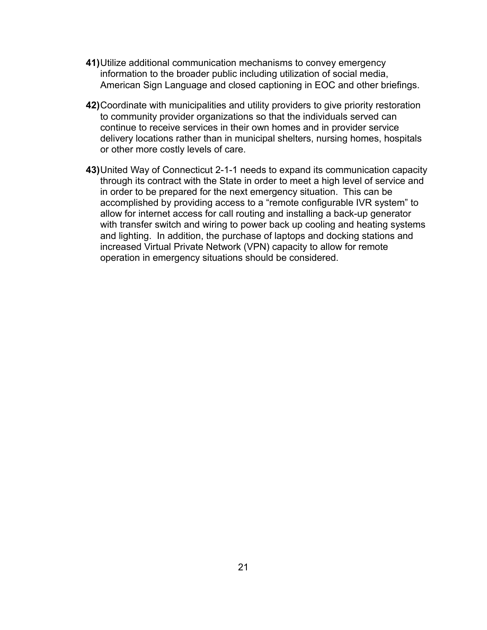- **41)**Utilize additional communication mechanisms to convey emergency information to the broader public including utilization of social media, American Sign Language and closed captioning in EOC and other briefings.
- **42)**Coordinate with municipalities and utility providers to give priority restoration to community provider organizations so that the individuals served can continue to receive services in their own homes and in provider service delivery locations rather than in municipal shelters, nursing homes, hospitals or other more costly levels of care.
- **43)**United Way of Connecticut 2-1-1 needs to expand its communication capacity through its contract with the State in order to meet a high level of service and in order to be prepared for the next emergency situation. This can be accomplished by providing access to a "remote configurable IVR system" to allow for internet access for call routing and installing a back-up generator with transfer switch and wiring to power back up cooling and heating systems and lighting. In addition, the purchase of laptops and docking stations and increased Virtual Private Network (VPN) capacity to allow for remote operation in emergency situations should be considered.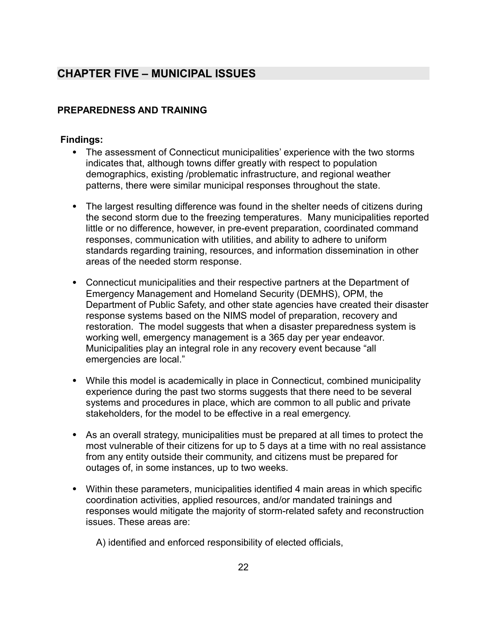# <span id="page-24-1"></span>**CHAPTER FIVE – MUNICIPAL ISSUES**

## <span id="page-24-0"></span>**PREPAREDNESS AND TRAINING**

## **Findings:**

- The assessment of Connecticut municipalities' experience with the two storms indicates that, although towns differ greatly with respect to population demographics, existing /problematic infrastructure, and regional weather patterns, there were similar municipal responses throughout the state.
- The largest resulting difference was found in the shelter needs of citizens during the second storm due to the freezing temperatures. Many municipalities reported little or no difference, however, in pre-event preparation, coordinated command responses, communication with utilities, and ability to adhere to uniform standards regarding training, resources, and information dissemination in other areas of the needed storm response.
- Connecticut municipalities and their respective partners at the Department of Emergency Management and Homeland Security (DEMHS), OPM, the Department of Public Safety, and other state agencies have created their disaster response systems based on the NIMS model of preparation, recovery and restoration. The model suggests that when a disaster preparedness system is working well, emergency management is a 365 day per year endeavor. Municipalities play an integral role in any recovery event because "all emergencies are local."
- While this model is academically in place in Connecticut, combined municipality experience during the past two storms suggests that there need to be several systems and procedures in place, which are common to all public and private stakeholders, for the model to be effective in a real emergency.
- As an overall strategy, municipalities must be prepared at all times to protect the most vulnerable of their citizens for up to 5 days at a time with no real assistance from any entity outside their community, and citizens must be prepared for outages of, in some instances, up to two weeks.
- Within these parameters, municipalities identified 4 main areas in which specific coordination activities, applied resources, and/or mandated trainings and responses would mitigate the majority of storm-related safety and reconstruction issues. These areas are:

A) identified and enforced responsibility of elected officials,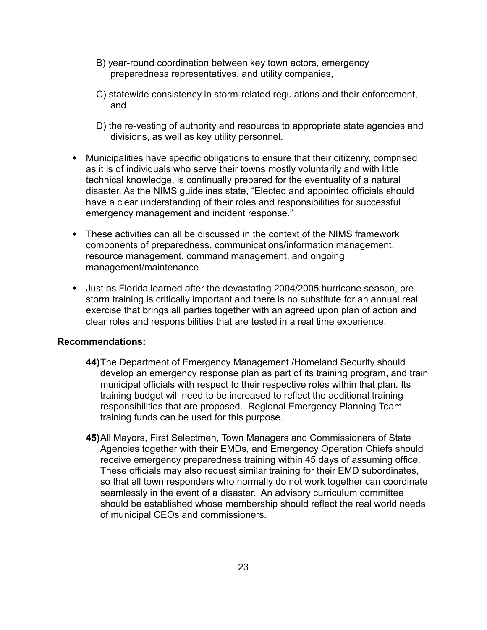- B) year-round coordination between key town actors, emergency preparedness representatives, and utility companies,
- C) statewide consistency in storm-related regulations and their enforcement, and
- D) the re-vesting of authority and resources to appropriate state agencies and divisions, as well as key utility personnel.
- Municipalities have specific obligations to ensure that their citizenry, comprised as it is of individuals who serve their towns mostly voluntarily and with little technical knowledge, is continually prepared for the eventuality of a natural disaster. As the NIMS guidelines state, "Elected and appointed officials should have a clear understanding of their roles and responsibilities for successful emergency management and incident response."
- These activities can all be discussed in the context of the NIMS framework components of preparedness, communications/information management, resource management, command management, and ongoing management/maintenance.
- Just as Florida learned after the devastating 2004/2005 hurricane season, prestorm training is critically important and there is no substitute for an annual real exercise that brings all parties together with an agreed upon plan of action and clear roles and responsibilities that are tested in a real time experience.

- **44)**The Department of Emergency Management /Homeland Security should develop an emergency response plan as part of its training program, and train municipal officials with respect to their respective roles within that plan. Its training budget will need to be increased to reflect the additional training responsibilities that are proposed. Regional Emergency Planning Team training funds can be used for this purpose.
- **45)**All Mayors, First Selectmen, Town Managers and Commissioners of State Agencies together with their EMDs, and Emergency Operation Chiefs should receive emergency preparedness training within 45 days of assuming office. These officials may also request similar training for their EMD subordinates, so that all town responders who normally do not work together can coordinate seamlessly in the event of a disaster. An advisory curriculum committee should be established whose membership should reflect the real world needs of municipal CEOs and commissioners.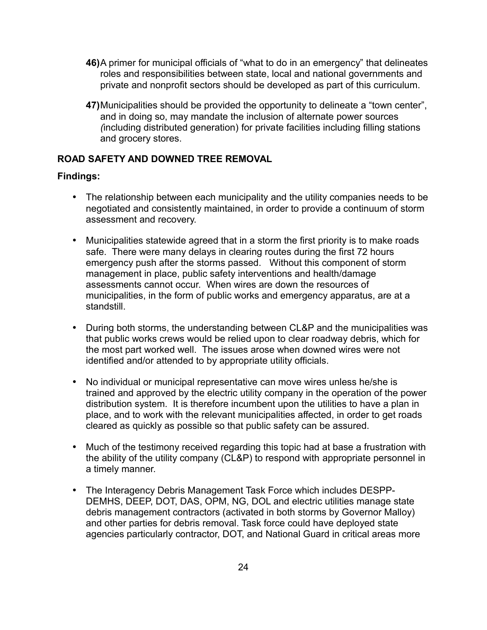- **46)**A primer for municipal officials of "what to do in an emergency" that delineates roles and responsibilities between state, local and national governments and private and nonprofit sectors should be developed as part of this curriculum.
- **47)**Municipalities should be provided the opportunity to delineate a "town center", and in doing so, may mandate the inclusion of alternate power sources *(*including distributed generation) for private facilities including filling stations and grocery stores.

#### <span id="page-26-0"></span>**ROAD SAFETY AND DOWNED TREE REMOVAL**

- The relationship between each municipality and the utility companies needs to be negotiated and consistently maintained, in order to provide a continuum of storm assessment and recovery.
- Municipalities statewide agreed that in a storm the first priority is to make roads safe. There were many delays in clearing routes during the first 72 hours emergency push after the storms passed. Without this component of storm management in place, public safety interventions and health/damage assessments cannot occur. When wires are down the resources of municipalities, in the form of public works and emergency apparatus, are at a standstill.
- During both storms, the understanding between CL&P and the municipalities was that public works crews would be relied upon to clear roadway debris, which for the most part worked well. The issues arose when downed wires were not identified and/or attended to by appropriate utility officials.
- No individual or municipal representative can move wires unless he/she is trained and approved by the electric utility company in the operation of the power distribution system. It is therefore incumbent upon the utilities to have a plan in place, and to work with the relevant municipalities affected, in order to get roads cleared as quickly as possible so that public safety can be assured.
- Much of the testimony received regarding this topic had at base a frustration with the ability of the utility company (CL&P) to respond with appropriate personnel in a timely manner.
- The Interagency Debris Management Task Force which includes DESPP-DEMHS, DEEP, DOT, DAS, OPM, NG, DOL and electric utilities manage state debris management contractors (activated in both storms by Governor Malloy) and other parties for debris removal. Task force could have deployed state agencies particularly contractor, DOT, and National Guard in critical areas more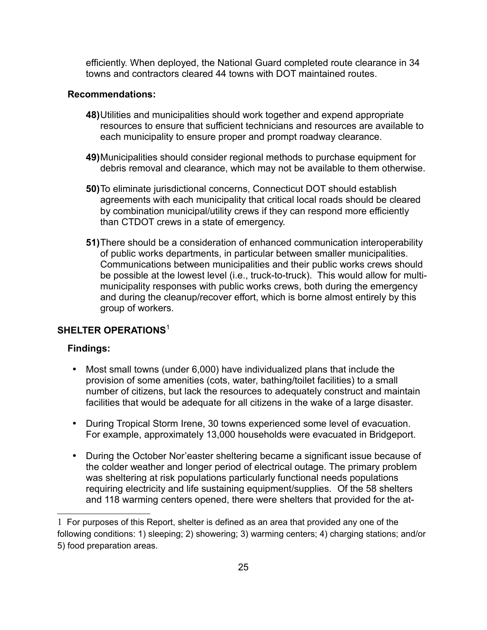efficiently. When deployed, the National Guard completed route clearance in 34 towns and contractors cleared 44 towns with DOT maintained routes.

#### **Recommendations:**

- **48)**Utilities and municipalities should work together and expend appropriate resources to ensure that sufficient technicians and resources are available to each municipality to ensure proper and prompt roadway clearance.
- **49)**Municipalities should consider regional methods to purchase equipment for debris removal and clearance, which may not be available to them otherwise.
- **50)**To eliminate jurisdictional concerns, Connecticut DOT should establish agreements with each municipality that critical local roads should be cleared by combination municipal/utility crews if they can respond more efficiently than CTDOT crews in a state of emergency.
- **51)**There should be a consideration of enhanced communication interoperability of public works departments, in particular between smaller municipalities. Communications between municipalities and their public works crews should be possible at the lowest level (i.e., truck-to-truck). This would allow for multimunicipality responses with public works crews, both during the emergency and during the cleanup/recover effort, which is borne almost entirely by this group of workers.

#### <span id="page-27-0"></span>**SHELTER OPERATIONS**[1](#page-27-1)

- Most small towns (under 6,000) have individualized plans that include the provision of some amenities (cots, water, bathing/toilet facilities) to a small number of citizens, but lack the resources to adequately construct and maintain facilities that would be adequate for all citizens in the wake of a large disaster.
- During Tropical Storm Irene, 30 towns experienced some level of evacuation. For example, approximately 13,000 households were evacuated in Bridgeport.
- During the October Nor'easter sheltering became a significant issue because of the colder weather and longer period of electrical outage. The primary problem was sheltering at risk populations particularly functional needs populations requiring electricity and life sustaining equipment/supplies. Of the 58 shelters and 118 warming centers opened, there were shelters that provided for the at-

<span id="page-27-1"></span><sup>1</sup> For purposes of this Report, shelter is defined as an area that provided any one of the following conditions: 1) sleeping; 2) showering; 3) warming centers; 4) charging stations; and/or 5) food preparation areas.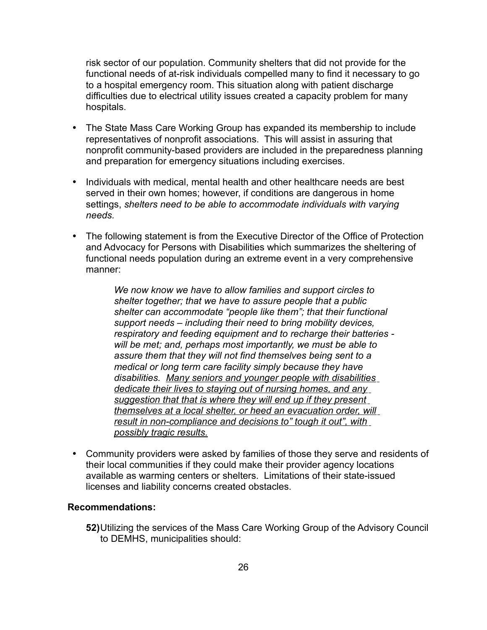risk sector of our population. Community shelters that did not provide for the functional needs of at-risk individuals compelled many to find it necessary to go to a hospital emergency room. This situation along with patient discharge difficulties due to electrical utility issues created a capacity problem for many hospitals.

- The State Mass Care Working Group has expanded its membership to include representatives of nonprofit associations. This will assist in assuring that nonprofit community-based providers are included in the preparedness planning and preparation for emergency situations including exercises.
- Individuals with medical, mental health and other healthcare needs are best served in their own homes; however, if conditions are dangerous in home settings, *shelters need to be able to accommodate individuals with varying needs.*
- The following statement is from the Executive Director of the Office of Protection and Advocacy for Persons with Disabilities which summarizes the sheltering of functional needs population during an extreme event in a very comprehensive manner:

*We now know we have to allow families and support circles to shelter together; that we have to assure people that a public shelter can accommodate "people like them"; that their functional support needs – including their need to bring mobility devices, respiratory and feeding equipment and to recharge their batteries will be met; and, perhaps most importantly, we must be able to assure them that they will not find themselves being sent to a medical or long term care facility simply because they have disabilities. Many seniors and younger people with disabilities dedicate their lives to staying out of nursing homes, and any suggestion that that is where they will end up if they present themselves at a local shelter, or heed an evacuation order, will result in non-compliance and decisions to" tough it out", with possibly tragic results.*

• Community providers were asked by families of those they serve and residents of their local communities if they could make their provider agency locations available as warming centers or shelters. Limitations of their state-issued licenses and liability concerns created obstacles.

#### **Recommendations:**

**52)**Utilizing the services of the Mass Care Working Group of the Advisory Council to DEMHS, municipalities should: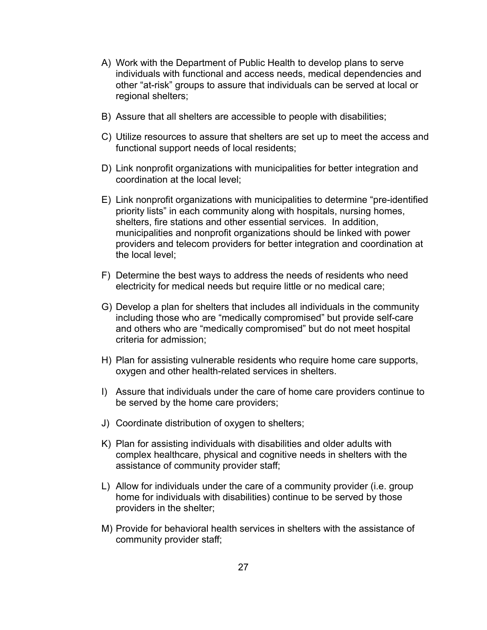- A) Work with the Department of Public Health to develop plans to serve individuals with functional and access needs, medical dependencies and other "at-risk" groups to assure that individuals can be served at local or regional shelters;
- B) Assure that all shelters are accessible to people with disabilities;
- C) Utilize resources to assure that shelters are set up to meet the access and functional support needs of local residents;
- D) Link nonprofit organizations with municipalities for better integration and coordination at the local level;
- E) Link nonprofit organizations with municipalities to determine "pre-identified priority lists" in each community along with hospitals, nursing homes, shelters, fire stations and other essential services. In addition, municipalities and nonprofit organizations should be linked with power providers and telecom providers for better integration and coordination at the local level;
- F) Determine the best ways to address the needs of residents who need electricity for medical needs but require little or no medical care;
- G) Develop a plan for shelters that includes all individuals in the community including those who are "medically compromised" but provide self-care and others who are "medically compromised" but do not meet hospital criteria for admission;
- H) Plan for assisting vulnerable residents who require home care supports, oxygen and other health-related services in shelters.
- I) Assure that individuals under the care of home care providers continue to be served by the home care providers;
- J) Coordinate distribution of oxygen to shelters;
- K) Plan for assisting individuals with disabilities and older adults with complex healthcare, physical and cognitive needs in shelters with the assistance of community provider staff;
- L) Allow for individuals under the care of a community provider (i.e. group home for individuals with disabilities) continue to be served by those providers in the shelter;
- M) Provide for behavioral health services in shelters with the assistance of community provider staff;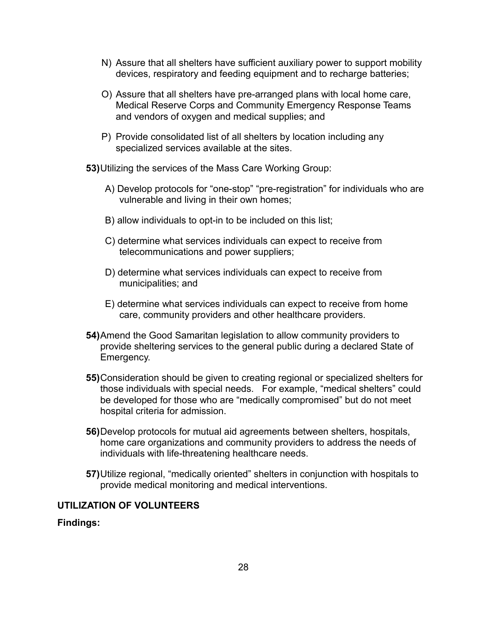- N) Assure that all shelters have sufficient auxiliary power to support mobility devices, respiratory and feeding equipment and to recharge batteries;
- O) Assure that all shelters have pre-arranged plans with local home care, Medical Reserve Corps and Community Emergency Response Teams and vendors of oxygen and medical supplies; and
- P) Provide consolidated list of all shelters by location including any specialized services available at the sites.

**53)**Utilizing the services of the Mass Care Working Group:

- A) Develop protocols for "one-stop" "pre-registration" for individuals who are vulnerable and living in their own homes;
- B) allow individuals to opt-in to be included on this list;
- C) determine what services individuals can expect to receive from telecommunications and power suppliers;
- D) determine what services individuals can expect to receive from municipalities; and
- E) determine what services individuals can expect to receive from home care, community providers and other healthcare providers.
- **54)**Amend the Good Samaritan legislation to allow community providers to provide sheltering services to the general public during a declared State of Emergency.
- **55)**Consideration should be given to creating regional or specialized shelters for those individuals with special needs. For example, "medical shelters" could be developed for those who are "medically compromised" but do not meet hospital criteria for admission.
- **56)**Develop protocols for mutual aid agreements between shelters, hospitals, home care organizations and community providers to address the needs of individuals with life-threatening healthcare needs.
- **57)**Utilize regional, "medically oriented" shelters in conjunction with hospitals to provide medical monitoring and medical interventions.

#### <span id="page-30-0"></span>**UTILIZATION OF VOLUNTEERS**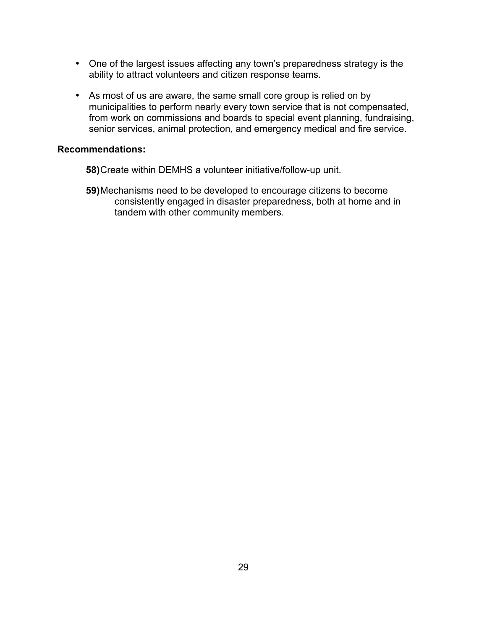- One of the largest issues affecting any town's preparedness strategy is the ability to attract volunteers and citizen response teams.
- As most of us are aware, the same small core group is relied on by municipalities to perform nearly every town service that is not compensated, from work on commissions and boards to special event planning, fundraising, senior services, animal protection, and emergency medical and fire service.

- **58)**Create within DEMHS a volunteer initiative/follow-up unit.
- **59)**Mechanisms need to be developed to encourage citizens to become consistently engaged in disaster preparedness, both at home and in tandem with other community members.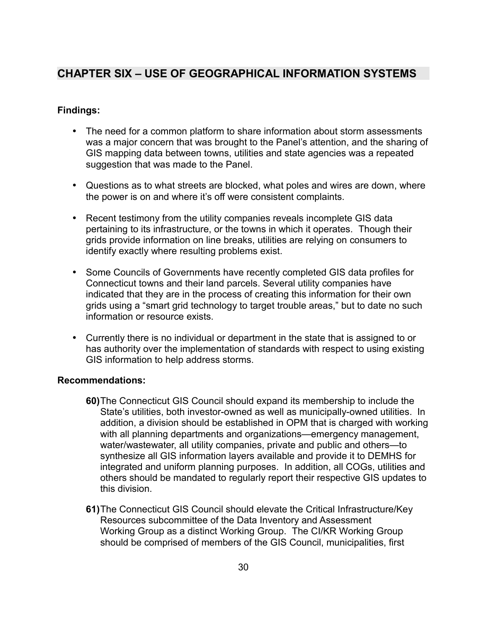# <span id="page-32-0"></span>**CHAPTER SIX – USE OF GEOGRAPHICAL INFORMATION SYSTEMS**

## **Findings:**

- The need for a common platform to share information about storm assessments was a major concern that was brought to the Panel's attention, and the sharing of GIS mapping data between towns, utilities and state agencies was a repeated suggestion that was made to the Panel.
- Questions as to what streets are blocked, what poles and wires are down, where the power is on and where it's off were consistent complaints.
- Recent testimony from the utility companies reveals incomplete GIS data pertaining to its infrastructure, or the towns in which it operates. Though their grids provide information on line breaks, utilities are relying on consumers to identify exactly where resulting problems exist.
- Some Councils of Governments have recently completed GIS data profiles for Connecticut towns and their land parcels. Several utility companies have indicated that they are in the process of creating this information for their own grids using a "smart grid technology to target trouble areas," but to date no such information or resource exists.
- Currently there is no individual or department in the state that is assigned to or has authority over the implementation of standards with respect to using existing GIS information to help address storms.

- **60)**The Connecticut GIS Council should expand its membership to include the State's utilities, both investor-owned as well as municipally-owned utilities. In addition, a division should be established in OPM that is charged with working with all planning departments and organizations—emergency management, water/wastewater, all utility companies, private and public and others—to synthesize all GIS information layers available and provide it to DEMHS for integrated and uniform planning purposes. In addition, all COGs, utilities and others should be mandated to regularly report their respective GIS updates to this division.
- **61)**The Connecticut GIS Council should elevate the Critical Infrastructure/Key Resources subcommittee of the Data Inventory and Assessment Working Group as a distinct Working Group. The CI/KR Working Group should be comprised of members of the GIS Council, municipalities, first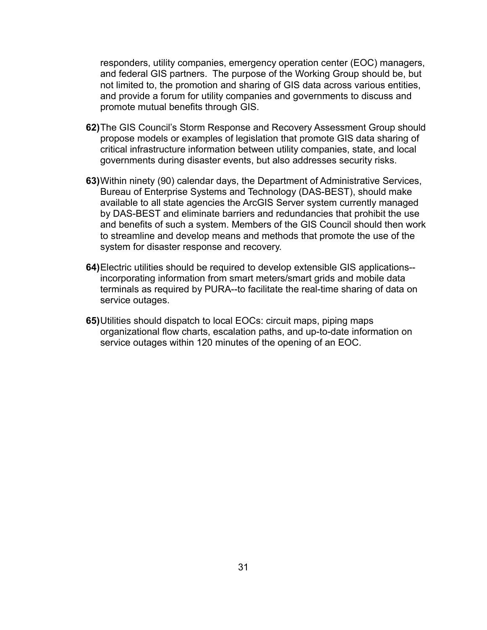responders, utility companies, emergency operation center (EOC) managers, and federal GIS partners. The purpose of the Working Group should be, but not limited to, the promotion and sharing of GIS data across various entities, and provide a forum for utility companies and governments to discuss and promote mutual benefits through GIS.

- **62)**The GIS Council's Storm Response and Recovery Assessment Group should propose models or examples of legislation that promote GIS data sharing of critical infrastructure information between utility companies, state, and local governments during disaster events, but also addresses security risks.
- **63)**Within ninety (90) calendar days, the Department of Administrative Services, Bureau of Enterprise Systems and Technology (DAS-BEST), should make available to all state agencies the ArcGIS Server system currently managed by DAS-BEST and eliminate barriers and redundancies that prohibit the use and benefits of such a system. Members of the GIS Council should then work to streamline and develop means and methods that promote the use of the system for disaster response and recovery.
- **64)**Electric utilities should be required to develop extensible GIS applications- incorporating information from smart meters/smart grids and mobile data terminals as required by PURA--to facilitate the real-time sharing of data on service outages.
- **65)**Utilities should dispatch to local EOCs: circuit maps, piping maps organizational flow charts, escalation paths, and up-to-date information on service outages within 120 minutes of the opening of an EOC.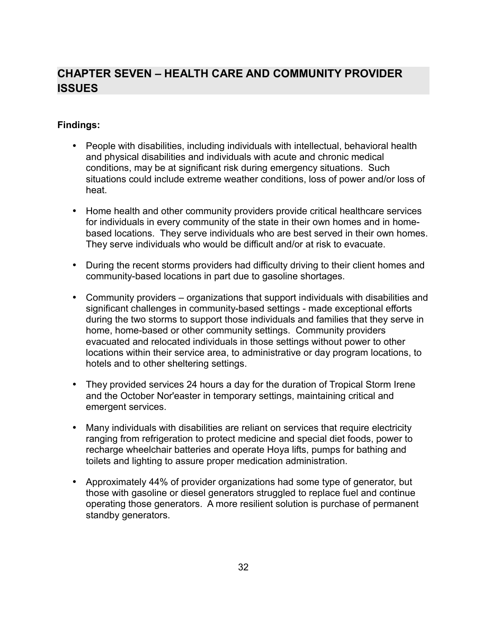# <span id="page-34-0"></span>**CHAPTER SEVEN – HEALTH CARE AND COMMUNITY PROVIDER ISSUES**

- People with disabilities, including individuals with intellectual, behavioral health and physical disabilities and individuals with acute and chronic medical conditions, may be at significant risk during emergency situations. Such situations could include extreme weather conditions, loss of power and/or loss of heat.
- Home health and other community providers provide critical healthcare services for individuals in every community of the state in their own homes and in homebased locations. They serve individuals who are best served in their own homes. They serve individuals who would be difficult and/or at risk to evacuate.
- During the recent storms providers had difficulty driving to their client homes and community-based locations in part due to gasoline shortages.
- Community providers organizations that support individuals with disabilities and significant challenges in community-based settings - made exceptional efforts during the two storms to support those individuals and families that they serve in home, home-based or other community settings. Community providers evacuated and relocated individuals in those settings without power to other locations within their service area, to administrative or day program locations, to hotels and to other sheltering settings.
- They provided services 24 hours a day for the duration of Tropical Storm Irene and the October Nor'easter in temporary settings, maintaining critical and emergent services.
- Many individuals with disabilities are reliant on services that require electricity ranging from refrigeration to protect medicine and special diet foods, power to recharge wheelchair batteries and operate Hoya lifts, pumps for bathing and toilets and lighting to assure proper medication administration.
- Approximately 44% of provider organizations had some type of generator, but those with gasoline or diesel generators struggled to replace fuel and continue operating those generators. A more resilient solution is purchase of permanent standby generators.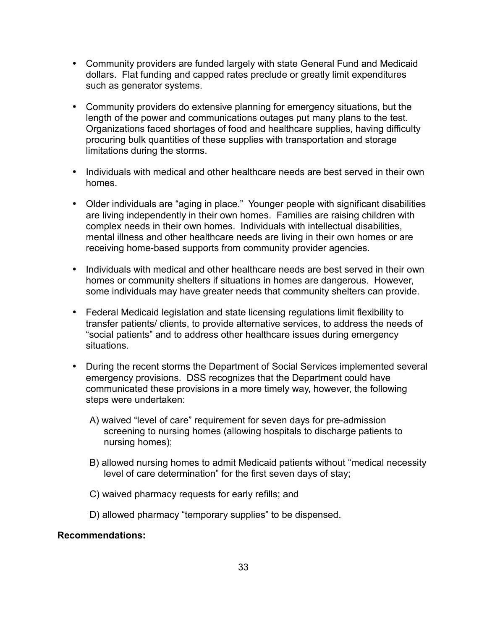- Community providers are funded largely with state General Fund and Medicaid dollars. Flat funding and capped rates preclude or greatly limit expenditures such as generator systems.
- Community providers do extensive planning for emergency situations, but the length of the power and communications outages put many plans to the test. Organizations faced shortages of food and healthcare supplies, having difficulty procuring bulk quantities of these supplies with transportation and storage limitations during the storms.
- Individuals with medical and other healthcare needs are best served in their own homes.
- Older individuals are "aging in place." Younger people with significant disabilities are living independently in their own homes. Families are raising children with complex needs in their own homes. Individuals with intellectual disabilities, mental illness and other healthcare needs are living in their own homes or are receiving home-based supports from community provider agencies.
- Individuals with medical and other healthcare needs are best served in their own homes or community shelters if situations in homes are dangerous. However, some individuals may have greater needs that community shelters can provide.
- Federal Medicaid legislation and state licensing regulations limit flexibility to transfer patients/ clients, to provide alternative services, to address the needs of "social patients" and to address other healthcare issues during emergency situations.
- During the recent storms the Department of Social Services implemented several emergency provisions. DSS recognizes that the Department could have communicated these provisions in a more timely way, however, the following steps were undertaken:
	- A) waived "level of care" requirement for seven days for pre-admission screening to nursing homes (allowing hospitals to discharge patients to nursing homes);
	- B) allowed nursing homes to admit Medicaid patients without "medical necessity level of care determination" for the first seven days of stay;
	- C) waived pharmacy requests for early refills; and
	- D) allowed pharmacy "temporary supplies" to be dispensed.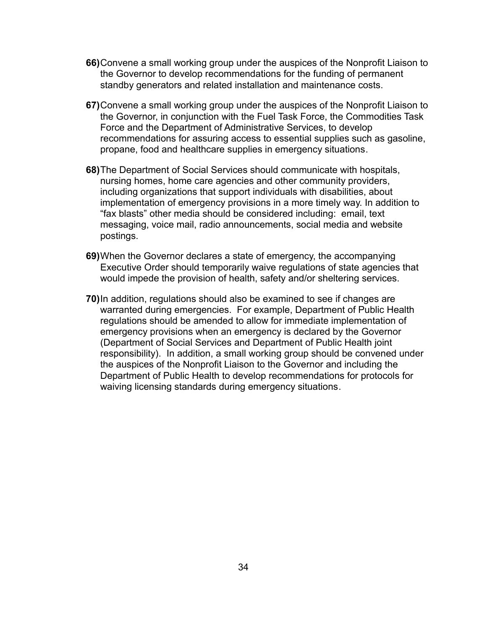- **66)**Convene a small working group under the auspices of the Nonprofit Liaison to the Governor to develop recommendations for the funding of permanent standby generators and related installation and maintenance costs.
- **67)**Convene a small working group under the auspices of the Nonprofit Liaison to the Governor, in conjunction with the Fuel Task Force, the Commodities Task Force and the Department of Administrative Services, to develop recommendations for assuring access to essential supplies such as gasoline, propane, food and healthcare supplies in emergency situations.
- **68)**The Department of Social Services should communicate with hospitals, nursing homes, home care agencies and other community providers, including organizations that support individuals with disabilities, about implementation of emergency provisions in a more timely way. In addition to "fax blasts" other media should be considered including: email, text messaging, voice mail, radio announcements, social media and website postings.
- **69)**When the Governor declares a state of emergency, the accompanying Executive Order should temporarily waive regulations of state agencies that would impede the provision of health, safety and/or sheltering services.
- **70)**In addition, regulations should also be examined to see if changes are warranted during emergencies. For example, Department of Public Health regulations should be amended to allow for immediate implementation of emergency provisions when an emergency is declared by the Governor (Department of Social Services and Department of Public Health joint responsibility). In addition, a small working group should be convened under the auspices of the Nonprofit Liaison to the Governor and including the Department of Public Health to develop recommendations for protocols for waiving licensing standards during emergency situations.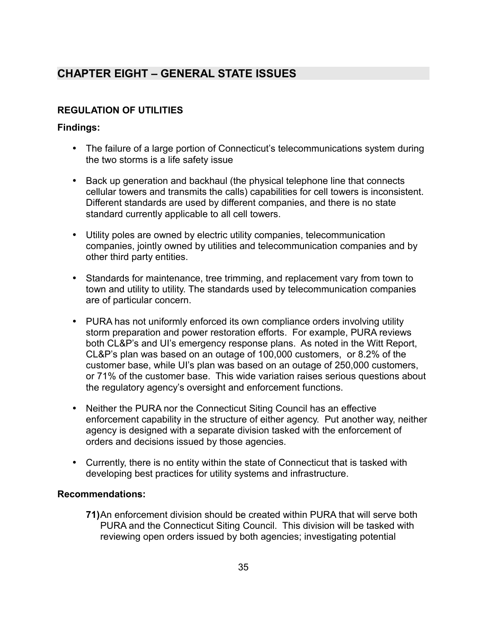# <span id="page-37-1"></span>**CHAPTER EIGHT – GENERAL STATE ISSUES**

# <span id="page-37-0"></span>**REGULATION OF UTILITIES**

## **Findings:**

- The failure of a large portion of Connecticut's telecommunications system during the two storms is a life safety issue
- Back up generation and backhaul (the physical telephone line that connects cellular towers and transmits the calls) capabilities for cell towers is inconsistent. Different standards are used by different companies, and there is no state standard currently applicable to all cell towers.
- Utility poles are owned by electric utility companies, telecommunication companies, jointly owned by utilities and telecommunication companies and by other third party entities.
- Standards for maintenance, tree trimming, and replacement vary from town to town and utility to utility. The standards used by telecommunication companies are of particular concern.
- PURA has not uniformly enforced its own compliance orders involving utility storm preparation and power restoration efforts. For example, PURA reviews both CL&P's and UI's emergency response plans. As noted in the Witt Report, CL&P's plan was based on an outage of 100,000 customers, or 8.2% of the customer base, while UI's plan was based on an outage of 250,000 customers, or 71% of the customer base. This wide variation raises serious questions about the regulatory agency's oversight and enforcement functions.
- Neither the PURA nor the Connecticut Siting Council has an effective enforcement capability in the structure of either agency. Put another way, neither agency is designed with a separate division tasked with the enforcement of orders and decisions issued by those agencies.
- Currently, there is no entity within the state of Connecticut that is tasked with developing best practices for utility systems and infrastructure.

#### **Recommendations:**

**71)**An enforcement division should be created within PURA that will serve both PURA and the Connecticut Siting Council. This division will be tasked with reviewing open orders issued by both agencies; investigating potential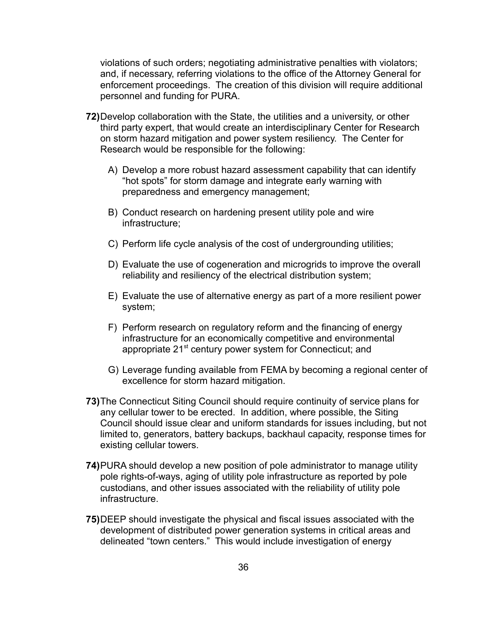violations of such orders; negotiating administrative penalties with violators; and, if necessary, referring violations to the office of the Attorney General for enforcement proceedings. The creation of this division will require additional personnel and funding for PURA.

- **72)**Develop collaboration with the State, the utilities and a university, or other third party expert, that would create an interdisciplinary Center for Research on storm hazard mitigation and power system resiliency. The Center for Research would be responsible for the following:
	- A) Develop a more robust hazard assessment capability that can identify "hot spots" for storm damage and integrate early warning with preparedness and emergency management;
	- B) Conduct research on hardening present utility pole and wire infrastructure;
	- C) Perform life cycle analysis of the cost of undergrounding utilities;
	- D) Evaluate the use of cogeneration and microgrids to improve the overall reliability and resiliency of the electrical distribution system;
	- E) Evaluate the use of alternative energy as part of a more resilient power system;
	- F) Perform research on regulatory reform and the financing of energy infrastructure for an economically competitive and environmental appropriate 21<sup>st</sup> century power system for Connecticut; and
	- G) Leverage funding available from FEMA by becoming a regional center of excellence for storm hazard mitigation.
- **73)**The Connecticut Siting Council should require continuity of service plans for any cellular tower to be erected. In addition, where possible, the Siting Council should issue clear and uniform standards for issues including, but not limited to, generators, battery backups, backhaul capacity, response times for existing cellular towers.
- **74)**PURA should develop a new position of pole administrator to manage utility pole rights-of-ways, aging of utility pole infrastructure as reported by pole custodians, and other issues associated with the reliability of utility pole infrastructure.
- **75)**DEEP should investigate the physical and fiscal issues associated with the development of distributed power generation systems in critical areas and delineated "town centers." This would include investigation of energy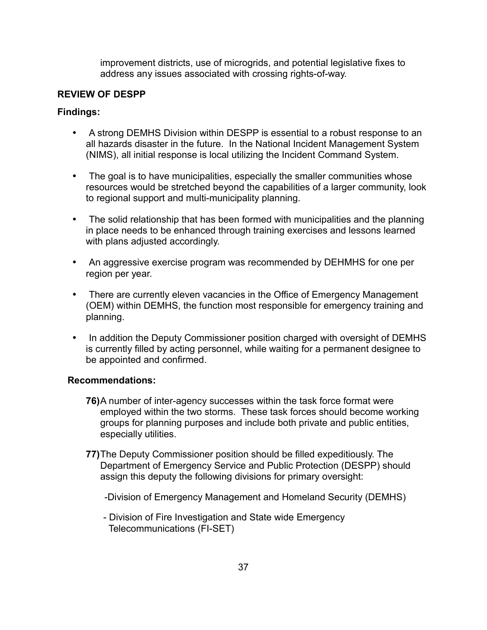improvement districts, use of microgrids, and potential legislative fixes to address any issues associated with crossing rights-of-way.

## <span id="page-39-0"></span>**REVIEW OF DESPP**

#### **Findings:**

- A strong DEMHS Division within DESPP is essential to a robust response to an all hazards disaster in the future. In the National Incident Management System (NIMS), all initial response is local utilizing the Incident Command System.
- The goal is to have municipalities, especially the smaller communities whose resources would be stretched beyond the capabilities of a larger community, look to regional support and multi-municipality planning.
- The solid relationship that has been formed with municipalities and the planning in place needs to be enhanced through training exercises and lessons learned with plans adjusted accordingly.
- An aggressive exercise program was recommended by DEHMHS for one per region per year.
- There are currently eleven vacancies in the Office of Emergency Management (OEM) within DEMHS, the function most responsible for emergency training and planning.
- In addition the Deputy Commissioner position charged with oversight of DEMHS is currently filled by acting personnel, while waiting for a permanent designee to be appointed and confirmed.

- **76)**A number of inter-agency successes within the task force format were employed within the two storms. These task forces should become working groups for planning purposes and include both private and public entities, especially utilities.
- **77)**The Deputy Commissioner position should be filled expeditiously. The Department of Emergency Service and Public Protection (DESPP) should assign this deputy the following divisions for primary oversight:
	- -Division of Emergency Management and Homeland Security (DEMHS)
	- Division of Fire Investigation and State wide Emergency Telecommunications (FI-SET)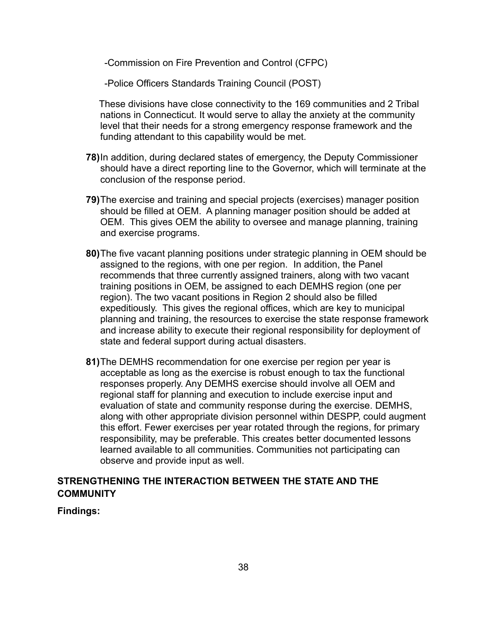-Commission on Fire Prevention and Control (CFPC)

-Police Officers Standards Training Council (POST)

These divisions have close connectivity to the 169 communities and 2 Tribal nations in Connecticut. It would serve to allay the anxiety at the community level that their needs for a strong emergency response framework and the funding attendant to this capability would be met.

- **78)**In addition, during declared states of emergency, the Deputy Commissioner should have a direct reporting line to the Governor, which will terminate at the conclusion of the response period.
- **79)**The exercise and training and special projects (exercises) manager position should be filled at OEM. A planning manager position should be added at OEM. This gives OEM the ability to oversee and manage planning, training and exercise programs.
- **80)**The five vacant planning positions under strategic planning in OEM should be assigned to the regions, with one per region. In addition, the Panel recommends that three currently assigned trainers, along with two vacant training positions in OEM, be assigned to each DEMHS region (one per region). The two vacant positions in Region 2 should also be filled expeditiously. This gives the regional offices, which are key to municipal planning and training, the resources to exercise the state response framework and increase ability to execute their regional responsibility for deployment of state and federal support during actual disasters.
- **81)**The DEMHS recommendation for one exercise per region per year is acceptable as long as the exercise is robust enough to tax the functional responses properly. Any DEMHS exercise should involve all OEM and regional staff for planning and execution to include exercise input and evaluation of state and community response during the exercise. DEMHS, along with other appropriate division personnel within DESPP, could augment this effort. Fewer exercises per year rotated through the regions, for primary responsibility, may be preferable. This creates better documented lessons learned available to all communities. Communities not participating can observe and provide input as well.

## <span id="page-40-0"></span>**STRENGTHENING THE INTERACTION BETWEEN THE STATE AND THE COMMUNITY**